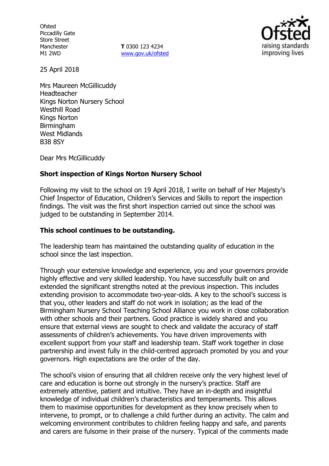**Ofsted** Piccadilly Gate Store Street Manchester M1 2WD

**T** 0300 123 4234 www.gov.uk/ofsted



25 April 2018

Mrs Maureen McGillicuddy Headteacher Kings Norton Nursery School Westhill Road Kings Norton Birmingham West Midlands B38 8SY

Dear Mrs McGillicuddy

### **Short inspection of Kings Norton Nursery School**

Following my visit to the school on 19 April 2018, I write on behalf of Her Majesty's Chief Inspector of Education, Children's Services and Skills to report the inspection findings. The visit was the first short inspection carried out since the school was judged to be outstanding in September 2014.

### **This school continues to be outstanding.**

The leadership team has maintained the outstanding quality of education in the school since the last inspection.

Through your extensive knowledge and experience, you and your governors provide highly effective and very skilled leadership. You have successfully built on and extended the significant strengths noted at the previous inspection. This includes extending provision to accommodate two-year-olds. A key to the school's success is that you, other leaders and staff do not work in isolation; as the lead of the Birmingham Nursery School Teaching School Alliance you work in close collaboration with other schools and their partners. Good practice is widely shared and you ensure that external views are sought to check and validate the accuracy of staff assessments of children's achievements. You have driven improvements with excellent support from your staff and leadership team. Staff work together in close partnership and invest fully in the child-centred approach promoted by you and your governors. High expectations are the order of the day.

The school's vision of ensuring that all children receive only the very highest level of care and education is borne out strongly in the nursery's practice. Staff are extremely attentive, patient and intuitive. They have an in-depth and insightful knowledge of individual children's characteristics and temperaments. This allows them to maximise opportunities for development as they know precisely when to intervene, to prompt, or to challenge a child further during an activity. The calm and welcoming environment contributes to children feeling happy and safe, and parents and carers are fulsome in their praise of the nursery. Typical of the comments made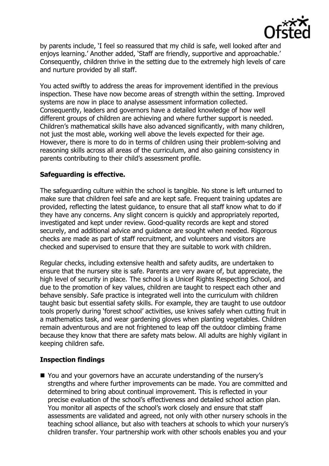

by parents include, 'I feel so reassured that my child is safe, well looked after and enjoys learning.' Another added, 'Staff are friendly, supportive and approachable.' Consequently, children thrive in the setting due to the extremely high levels of care and nurture provided by all staff.

You acted swiftly to address the areas for improvement identified in the previous inspection. These have now become areas of strength within the setting. Improved systems are now in place to analyse assessment information collected. Consequently, leaders and governors have a detailed knowledge of how well different groups of children are achieving and where further support is needed. Children's mathematical skills have also advanced significantly, with many children, not just the most able, working well above the levels expected for their age. However, there is more to do in terms of children using their problem-solving and reasoning skills across all areas of the curriculum, and also gaining consistency in parents contributing to their child's assessment profile.

# **Safeguarding is effective.**

The safeguarding culture within the school is tangible. No stone is left unturned to make sure that children feel safe and are kept safe. Frequent training updates are provided, reflecting the latest guidance, to ensure that all staff know what to do if they have any concerns. Any slight concern is quickly and appropriately reported, investigated and kept under review. Good-quality records are kept and stored securely, and additional advice and guidance are sought when needed. Rigorous checks are made as part of staff recruitment, and volunteers and visitors are checked and supervised to ensure that they are suitable to work with children.

Regular checks, including extensive health and safety audits, are undertaken to ensure that the nursery site is safe. Parents are very aware of, but appreciate, the high level of security in place. The school is a Unicef Rights Respecting School, and due to the promotion of key values, children are taught to respect each other and behave sensibly. Safe practice is integrated well into the curriculum with children taught basic but essential safety skills. For example, they are taught to use outdoor tools properly during 'forest school' activities, use knives safely when cutting fruit in a mathematics task, and wear gardening gloves when planting vegetables. Children remain adventurous and are not frightened to leap off the outdoor climbing frame because they know that there are safety mats below. All adults are highly vigilant in keeping children safe.

# **Inspection findings**

■ You and your governors have an accurate understanding of the nursery's strengths and where further improvements can be made. You are committed and determined to bring about continual improvement. This is reflected in your precise evaluation of the school's effectiveness and detailed school action plan. You monitor all aspects of the school's work closely and ensure that staff assessments are validated and agreed, not only with other nursery schools in the teaching school alliance, but also with teachers at schools to which your nursery's children transfer. Your partnership work with other schools enables you and your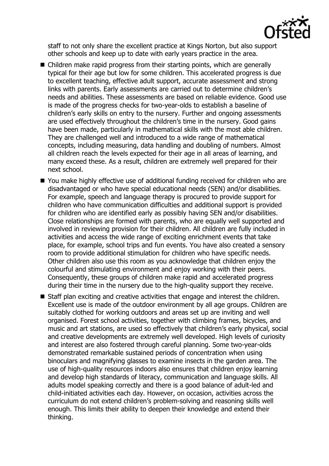

staff to not only share the excellent practice at Kings Norton, but also support other schools and keep up to date with early years practice in the area.

- Children make rapid progress from their starting points, which are generally typical for their age but low for some children. This accelerated progress is due to excellent teaching, effective adult support, accurate assessment and strong links with parents. Early assessments are carried out to determine children's needs and abilities. These assessments are based on reliable evidence. Good use is made of the progress checks for two-year-olds to establish a baseline of children's early skills on entry to the nursery. Further and ongoing assessments are used effectively throughout the children's time in the nursery. Good gains have been made, particularly in mathematical skills with the most able children. They are challenged well and introduced to a wide range of mathematical concepts, including measuring, data handling and doubling of numbers. Almost all children reach the levels expected for their age in all areas of learning, and many exceed these. As a result, children are extremely well prepared for their next school.
- You make highly effective use of additional funding received for children who are disadvantaged or who have special educational needs (SEN) and/or disabilities. For example, speech and language therapy is procured to provide support for children who have communication difficulties and additional support is provided for children who are identified early as possibly having SEN and/or disabilities. Close relationships are formed with parents, who are equally well supported and involved in reviewing provision for their children. All children are fully included in activities and access the wide range of exciting enrichment events that take place, for example, school trips and fun events. You have also created a sensory room to provide additional stimulation for children who have specific needs. Other children also use this room as you acknowledge that children enjoy the colourful and stimulating environment and enjoy working with their peers. Consequently, these groups of children make rapid and accelerated progress during their time in the nursery due to the high-quality support they receive.
- Staff plan exciting and creative activities that engage and interest the children. Excellent use is made of the outdoor environment by all age groups. Children are suitably clothed for working outdoors and areas set up are inviting and well organised. Forest school activities, together with climbing frames, bicycles, and music and art stations, are used so effectively that children's early physical, social and creative developments are extremely well developed. High levels of curiosity and interest are also fostered through careful planning. Some two-year-olds demonstrated remarkable sustained periods of concentration when using binoculars and magnifying glasses to examine insects in the garden area. The use of high-quality resources indoors also ensures that children enjoy learning and develop high standards of literacy, communication and language skills. All adults model speaking correctly and there is a good balance of adult-led and child-initiated activities each day. However, on occasion, activities across the curriculum do not extend children's problem-solving and reasoning skills well enough. This limits their ability to deepen their knowledge and extend their thinking.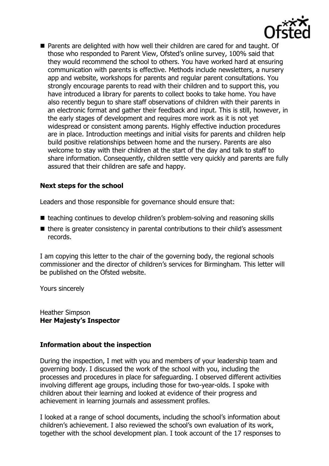

■ Parents are delighted with how well their children are cared for and taught. Of those who responded to Parent View, Ofsted's online survey, 100% said that they would recommend the school to others. You have worked hard at ensuring communication with parents is effective. Methods include newsletters, a nursery app and website, workshops for parents and regular parent consultations. You strongly encourage parents to read with their children and to support this, you have introduced a library for parents to collect books to take home. You have also recently begun to share staff observations of children with their parents in an electronic format and gather their feedback and input. This is still, however, in the early stages of development and requires more work as it is not yet widespread or consistent among parents. Highly effective induction procedures are in place. Introduction meetings and initial visits for parents and children help build positive relationships between home and the nursery. Parents are also welcome to stay with their children at the start of the day and talk to staff to share information. Consequently, children settle very quickly and parents are fully assured that their children are safe and happy.

#### **Next steps for the school**

Leaders and those responsible for governance should ensure that:

- teaching continues to develop children's problem-solving and reasoning skills
- $\blacksquare$  there is greater consistency in parental contributions to their child's assessment records.

I am copying this letter to the chair of the governing body, the regional schools commissioner and the director of children's services for Birmingham. This letter will be published on the Ofsted website.

Yours sincerely

Heather Simpson **Her Majesty's Inspector**

#### **Information about the inspection**

During the inspection, I met with you and members of your leadership team and governing body. I discussed the work of the school with you, including the processes and procedures in place for safeguarding. I observed different activities involving different age groups, including those for two-year-olds. I spoke with children about their learning and looked at evidence of their progress and achievement in learning journals and assessment profiles.

I looked at a range of school documents, including the school's information about children's achievement. I also reviewed the school's own evaluation of its work, together with the school development plan. I took account of the 17 responses to